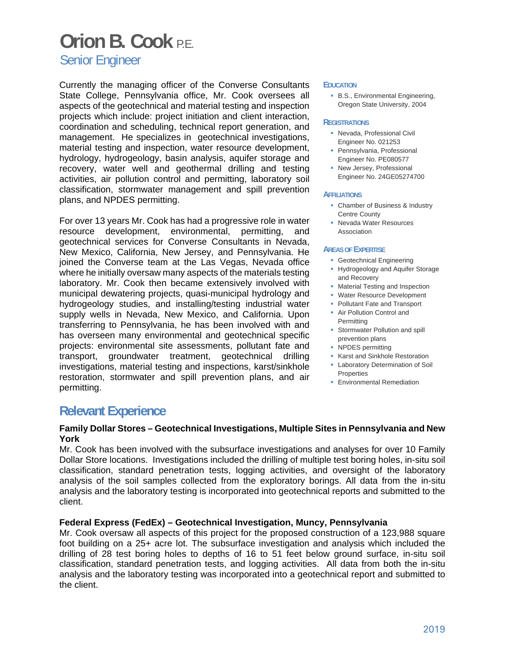## **Orion B. Cook** P.E.

Senior Engineer

Currently the managing officer of the Converse Consultants State College, Pennsylvania office, Mr. Cook oversees all aspects of the geotechnical and material testing and inspection projects which include: project initiation and client interaction, coordination and scheduling, technical report generation, and management. He specializes in geotechnical investigations, material testing and inspection, water resource development, hydrology, hydrogeology, basin analysis, aquifer storage and recovery, water well and geothermal drilling and testing activities, air pollution control and permitting, laboratory soil classification, stormwater management and spill prevention plans, and NPDES permitting.

For over 13 years Mr. Cook has had a progressive role in water resource development, environmental, permitting, and geotechnical services for Converse Consultants in Nevada, New Mexico, California, New Jersey, and Pennsylvania. He joined the Converse team at the Las Vegas, Nevada office where he initially oversaw many aspects of the materials testing laboratory. Mr. Cook then became extensively involved with municipal dewatering projects, quasi-municipal hydrology and hydrogeology studies, and installing/testing industrial water supply wells in Nevada, New Mexico, and California. Upon transferring to Pennsylvania, he has been involved with and has overseen many environmental and geotechnical specific projects: environmental site assessments, pollutant fate and transport, groundwater treatment, geotechnical drilling investigations, material testing and inspections, karst/sinkhole restoration, stormwater and spill prevention plans, and air permitting.

#### **EDUCATION**

**B.S., Environmental Engineering,** Oregon State University, 2004

#### **REGISTRATIONS**

- Nevada, Professional Civil Engineer No. 021253
- **Pennsylvania, Professional** Engineer No. PE080577
- **New Jersey, Professional** Engineer No. 24GE05274700

#### **AFFILIATIONS**

- Chamber of Business & Industry Centre County
- **Nevada Water Resources** Association

#### **AREAS OF EXPERTISE**

- **Geotechnical Engineering**
- **Hydrogeology and Aquifer Storage** and Recovery
- **Material Testing and Inspection**
- **Water Resource Development**
- Pollutant Fate and Transport
- **Air Pollution Control and Permitting**
- **Stormwater Pollution and spill** prevention plans
- NPDES permitting
- Karst and Sinkhole Restoration
- **Laboratory Determination of Soil Properties**
- **Environmental Remediation**

### **Relevant Experience**

#### **Family Dollar Stores – Geotechnical Investigations, Multiple Sites in Pennsylvania and New York**

Mr. Cook has been involved with the subsurface investigations and analyses for over 10 Family Dollar Store locations. Investigations included the drilling of multiple test boring holes, in-situ soil classification, standard penetration tests, logging activities, and oversight of the laboratory analysis of the soil samples collected from the exploratory borings. All data from the in-situ analysis and the laboratory testing is incorporated into geotechnical reports and submitted to the client.

#### **Federal Express (FedEx) – Geotechnical Investigation, Muncy, Pennsylvania**

Mr. Cook oversaw all aspects of this project for the proposed construction of a 123,988 square foot building on a 25+ acre lot. The subsurface investigation and analysis which included the drilling of 28 test boring holes to depths of 16 to 51 feet below ground surface, in-situ soil classification, standard penetration tests, and logging activities. All data from both the in-situ analysis and the laboratory testing was incorporated into a geotechnical report and submitted to the client.